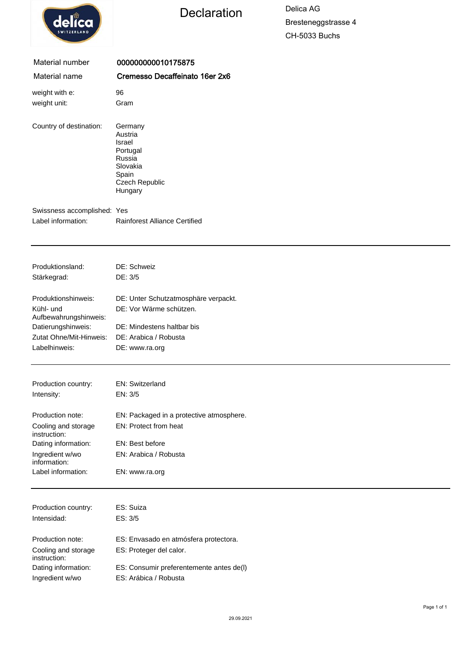

## Declaration Delica AG

Bresteneggstrasse 4 CH-5033 Buchs

| Material number                                   | 000000000010175875                                                                                   |
|---------------------------------------------------|------------------------------------------------------------------------------------------------------|
| Material name                                     | Cremesso Decaffeinato 16er 2x6                                                                       |
| weight with e:                                    | 96                                                                                                   |
| weight unit:                                      | Gram                                                                                                 |
| Country of destination:                           | Germany<br>Austria<br>Israel<br>Portugal<br>Russia<br>Slovakia<br>Spain<br>Czech Republic<br>Hungary |
| Swissness accomplished: Yes<br>Label information: | <b>Rainforest Alliance Certified</b>                                                                 |
|                                                   |                                                                                                      |
| Produktionsland:                                  | DE: Schweiz                                                                                          |
| Stärkegrad:                                       | DE: 3/5                                                                                              |
| Produktionshinweis:                               | DE: Unter Schutzatmosphäre verpackt.                                                                 |
| Kühl- und                                         | DE: Vor Wärme schützen.                                                                              |
| Aufbewahrungshinweis:                             |                                                                                                      |
| Datierungshinweis:<br>Zutat Ohne/Mit-Hinweis:     | DE: Mindestens haltbar bis<br>DE: Arabica / Robusta                                                  |
| Labelhinweis:                                     | DE: www.ra.org                                                                                       |
|                                                   |                                                                                                      |
| Production country:                               | EN: Switzerland                                                                                      |
| Intensity:                                        | EN: 3/5                                                                                              |
| Production note:                                  | EN: Packaged in a protective atmosphere.                                                             |
| Cooling and storage<br>instruction:               | EN: Protect from heat                                                                                |
| Dating information:                               | EN: Best before                                                                                      |
| Ingredient w/wo<br>information:                   | EN: Arabica / Robusta                                                                                |
| Label information:                                | EN: www.ra.org                                                                                       |
|                                                   |                                                                                                      |
| Production country:<br>Intensidad:                | ES: Suiza<br>ES: 3/5                                                                                 |
|                                                   |                                                                                                      |
| Production note:                                  | ES: Envasado en atmósfera protectora.                                                                |
| Cooling and storage<br>instruction:               | ES: Proteger del calor.                                                                              |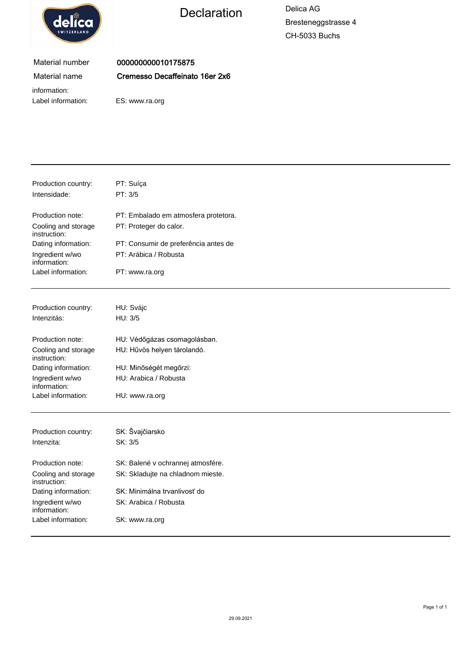

# Declaration Delica AG

Bresteneggstrasse 4 CH-5033 Buchs

### Material number Material name

000000000010175875 Cremesso Decaffeinato 16er 2x6

information:

Label information: ES: www.ra.org

| Production country:<br>Intensidade: | PT: Suíça<br>PT: 3/5                 |
|-------------------------------------|--------------------------------------|
| Production note:                    | PT: Embalado em atmosfera protetora. |
| Cooling and storage<br>instruction: | PT: Proteger do calor.               |
| Dating information:                 | PT: Consumir de preferência antes de |
| Ingredient w/wo<br>information:     | PT: Arábica / Robusta                |
| Label information:                  | PT: www.ra.org                       |
| Production country:                 | HU: Svájc                            |
| Intenzitás:                         | HU: 3/5                              |
|                                     |                                      |
| Production note:                    | HU: Védőgázas csomagolásban.         |
| Cooling and storage<br>instruction: | HU: Hűvös helyen tárolandó.          |
| Dating information:                 | HU: Minőségét megőrzi:               |
| Ingredient w/wo<br>information:     | HU: Arabica / Robusta                |
| Label information:                  | HU: www.ra.org                       |
| Production country:                 | SK: Švajčiarsko                      |
| Intenzita:                          | SK: 3/5                              |
|                                     |                                      |
| Production note:                    | SK: Balené v ochrannej atmosfére.    |
| Cooling and storage<br>instruction: | SK: Skladujte na chladnom mieste.    |
| Dating information:                 | SK: Minimálna trvanlivosť do         |
| Ingredient w/wo<br>information:     | SK: Arabica / Robusta                |
| Label information:                  | SK: www.ra.org                       |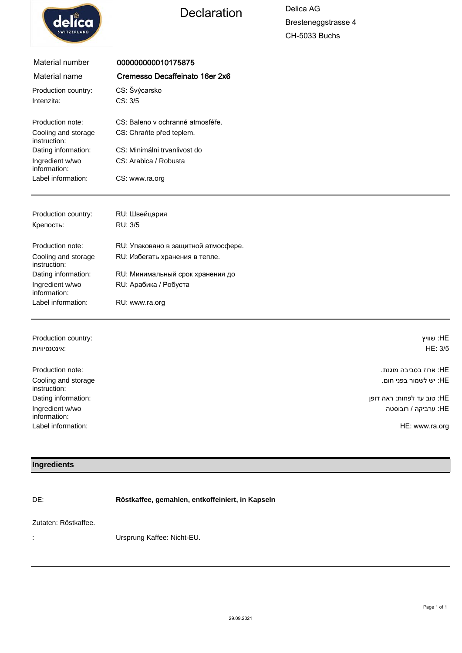

## Declaration Delica AG

Bresteneggstrasse 4 CH-5033 Buchs

| Material number                     | 000000000010175875                  |           |
|-------------------------------------|-------------------------------------|-----------|
| Material name                       | Cremesso Decaffeinato 16er 2x6      |           |
| Production country:                 | CS: Švýcarsko                       |           |
| Intenzita:                          | CS: 3/5                             |           |
| Production note:                    | CS: Baleno v ochranné atmosféře.    |           |
| Cooling and storage<br>instruction: | CS: Chraňte před teplem.            |           |
| Dating information:                 | CS: Minimálni trvanlivost do        |           |
| Ingredient w/wo<br>information:     | CS: Arabica / Robusta               |           |
| Label information:                  | CS: www.ra.org                      |           |
|                                     |                                     |           |
| Production country:                 | RU: Швейцария                       |           |
| Крепость:                           | RU: 3/5                             |           |
| Production note:                    | RU: Упаковано в защитной атмосфере. |           |
| Cooling and storage<br>instruction: | RU: Избегать хранения в тепле.      |           |
| Dating information:                 | RU: Минимальный срок хранения до    |           |
| Ingredient w/wo<br>information:     | RU: Арабика / Робуста               |           |
| Label information:                  | RU: www.ra.org                      |           |
|                                     |                                     |           |
| Production country:                 |                                     | HF: שוויע |

| T TUUUCUUT CUUTIUY.                 | ∟וו. שוו⊤                  |
|-------------------------------------|----------------------------|
| אינטנסיוויות:                       | HE: 3/5                    |
| Production note:                    | :HE ארוז בסביבה מוגנת.     |
| Cooling and storage<br>instruction: | :HE יש לשמור בפני חום.     |
| Dating information:                 | HE: טוב עד לפחות: ראה דופן |
| Ingredient w/wo<br>information:     | :HE ערביקה / רובוסטה       |
| Label information:                  | HE: www.ra.org             |

#### **Ingredients**

DE: **Röstkaffee, gemahlen, entkoffeiniert, in Kapseln**

#### Zutaten: Röstkaffee.

: Ursprung Kaffee: Nicht-EU.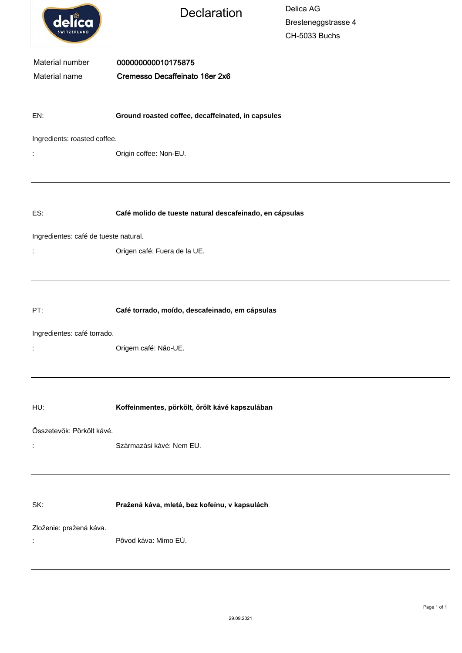| delica                                | <b>Declaration</b>                                      | Delica AG<br>Bresteneggstrasse 4<br>CH-5033 Buchs |  |  |
|---------------------------------------|---------------------------------------------------------|---------------------------------------------------|--|--|
| Material number<br>Material name      | 000000000010175875<br>Cremesso Decaffeinato 16er 2x6    |                                                   |  |  |
| EN:                                   | Ground roasted coffee, decaffeinated, in capsules       |                                                   |  |  |
| Ingredients: roasted coffee.          |                                                         |                                                   |  |  |
| $\ddot{\cdot}$                        | Origin coffee: Non-EU.                                  |                                                   |  |  |
|                                       |                                                         |                                                   |  |  |
| ES:                                   | Café molido de tueste natural descafeinado, en cápsulas |                                                   |  |  |
| Ingredientes: café de tueste natural. |                                                         |                                                   |  |  |
| İ,                                    | Origen café: Fuera de la UE.                            |                                                   |  |  |
|                                       |                                                         |                                                   |  |  |
| PT:                                   | Café torrado, moído, descafeinado, em cápsulas          |                                                   |  |  |
| Ingredientes: café torrado.           | Origem café: Não-UE.                                    |                                                   |  |  |
|                                       |                                                         |                                                   |  |  |
| HU:                                   | Koffeinmentes, pörkölt, őrölt kávé kapszulában          |                                                   |  |  |
| Összetevők: Pörkölt kávé.             |                                                         |                                                   |  |  |
|                                       | Származási kávé: Nem EU.                                |                                                   |  |  |
|                                       |                                                         |                                                   |  |  |
| SK:                                   | Pražená káva, mletá, bez kofeínu, v kapsulách           |                                                   |  |  |
| Zloženie: pražená káva.<br>÷          | Pôvod káva: Mimo EÚ.                                    |                                                   |  |  |